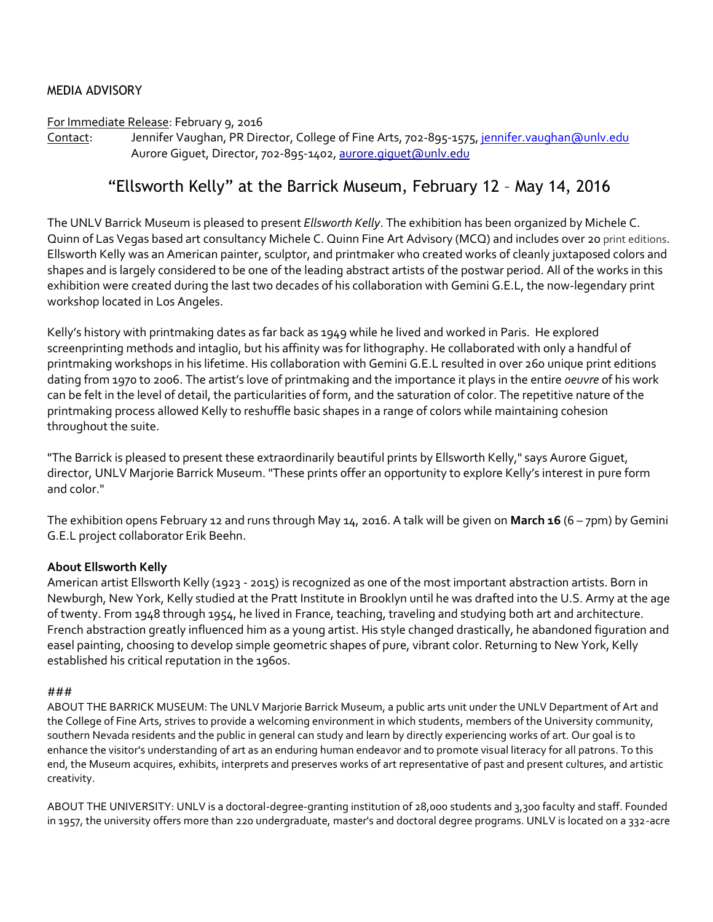## MEDIA ADVISORY

### For Immediate Release: February 9, 2016

Contact: Jennifer Vaughan, PR Director, College of Fine Arts, 702-895-1575, jennifer.vaughan@unly.edu Aurore Giguet, Director, 702-895-1402, aurore.giquet@unlv.edu

# "Ellsworth Kelly" at the Barrick Museum, February 12 – May 14, 2016

The UNLV Barrick Museum is pleased to present *Ellsworth Kelly*. The exhibition has been organized by Michele C. Quinn of Las Vegas based art consultancy Michele C. Quinn Fine Art Advisory (MCQ) and includes over 20 print editions. Ellsworth Kelly was an American painter, sculptor, and printmaker who created works of cleanly juxtaposed colors and shapes and is largely considered to be one of the leading abstract artists of the postwar period. All of the works in this exhibition were created during the last two decades of his collaboration with Gemini G.E.L, the now-legendary print workshop located in Los Angeles.

Kelly's history with printmaking dates as far back as 1949 while he lived and worked in Paris. He explored screenprinting methods and intaglio, but his affinity was for lithography. He collaborated with only a handful of printmaking workshops in his lifetime. His collaboration with Gemini G.E.L resulted in over 260 unique print editions dating from 1970 to 2006. The artist's love of printmaking and the importance it plays in the entire *oeuvre* of his work can be felt in the level of detail, the particularities of form, and the saturation of color. The repetitive nature of the printmaking process allowed Kelly to reshuffle basic shapes in a range of colors while maintaining cohesion throughout the suite.

"The Barrick is pleased to present these extraordinarily beautiful prints by Ellsworth Kelly," says Aurore Giguet, director, UNLV Marjorie Barrick Museum. "These prints offer an opportunity to explore Kelly's interest in pure form and color."

The exhibition opens February 12 and runs through May 14, 2016. A talk will be given on **March 16** (6 – 7pm) by Gemini G.E.L project collaborator Erik Beehn.

## **About Ellsworth Kelly**

American artist Ellsworth Kelly (1923 - 2015) is recognized as one of the most important abstraction artists. Born in Newburgh, New York, Kelly studied at the Pratt Institute in Brooklyn until he was drafted into the U.S. Army at the age of twenty. From 1948 through 1954, he lived in France, teaching, traveling and studying both art and architecture. French abstraction greatly influenced him as a young artist. His style changed drastically, he abandoned figuration and easel painting, choosing to develop simple geometric shapes of pure, vibrant color. Returning to New York, Kelly established his critical reputation in the 1960s.

### ###

ABOUT THE BARRICK MUSEUM: The UNLV Marjorie Barrick Museum, a public arts unit under the UNLV Department of Art and the College of Fine Arts, strives to provide a welcoming environment in which students, members of the University community, southern Nevada residents and the public in general can study and learn by directly experiencing works of art. Our goal is to enhance the visitor's understanding of art as an enduring human endeavor and to promote visual literacy for all patrons. To this end, the Museum acquires, exhibits, interprets and preserves works of art representative of past and present cultures, and artistic creativity.

ABOUT THE UNIVERSITY: UNLV is a doctoral-degree-granting institution of 28,000 students and 3,300 faculty and staff. Founded in 1957, the university offers more than 220 undergraduate, master's and doctoral degree programs. UNLV is located on a 332-acre